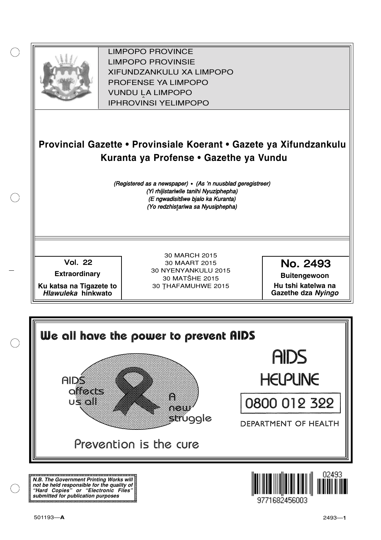

XIFUNDZANKULU XA LIMPOPO<br>PROFENCE XA LIMPORO PROFENSE YA LIMPOPO<br>WILDOLLA LIMPORO SOUTH A LIMPOPO<br>A LIPHROVINSI YELIMPOPO LIMPOPO PROVINCE LIMPOPO PROVINSIE IPHROVINSI YELIMPOPO

## **Provincial Gazette • Provinsiale Koerant • Gazete ya Xifundzankulu Kuranta ya Profense • Gazethe ya Vundu**

(Registered as a newspaper) • (As 'n nuusblad geregistreer) (Yi rhijistariwile tanihi Nyuziphepha) (E ngwadisitšwe bjalo ka Kuranta) (Yo redzhistariwa sa Nyusiphepha)

Vol.- 22

**Extraordinary**

**Ku katsa na Tigazete to Hlawuleka hinkwato**

30 MARCH 2015 30 MAART 2015 30 NYENYANKULU 2015 30 MATŠHE 2015 30 THAFAMUHWE 2015

No. 2493

**Buitengewoon Hu tshi katelwa na**

**Gazethe dza Nyingo**



**N.B. The Government Printing Works will not be held responsible for the quality of "Hard Copies" or "Electronic Files" submitted for publication purposes**

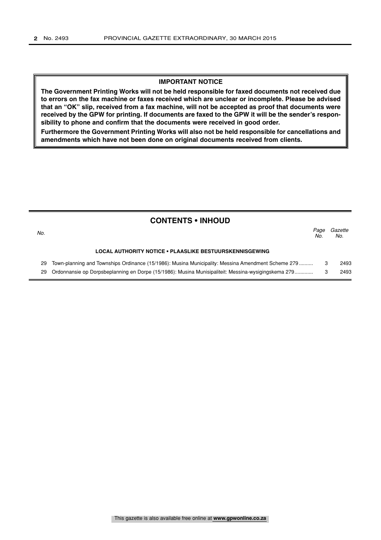#### **IMPORTANT NOTICE**

**The Government Printing Works will not be held responsible for faxed documents not received due to errors on the fax machine or faxes received which are unclear or incomplete. Please be advised that an "OK" slip, received from a fax machine, will not be accepted as proof that documents were received by the GPW for printing. If documents are faxed to the GPW it will be the sender's responsibility to phone and confirm that the documents were received in good order.**

**Furthermore the Government Printing Works will also not be held responsible for cancellations and amendments which have not been done on original documents received from clients.**

| <b>CONTENTS • INHOUD</b> |                                                                                                     |             |                |  |
|--------------------------|-----------------------------------------------------------------------------------------------------|-------------|----------------|--|
| No.                      |                                                                                                     | Page<br>No. | Gazette<br>No. |  |
|                          | LOCAL AUTHORITY NOTICE . PLAASLIKE BESTUURSKENNISGEWING                                             |             |                |  |
| 29                       | Town-planning and Townships Ordinance (15/1986): Musina Municipality: Messina Amendment Scheme 279  | -3          | 2493           |  |
| 29                       | Ordonnansie op Dorpsbeplanning en Dorpe (15/1986): Musina Munisipaliteit: Messina-wysigingskema 279 |             | 2493           |  |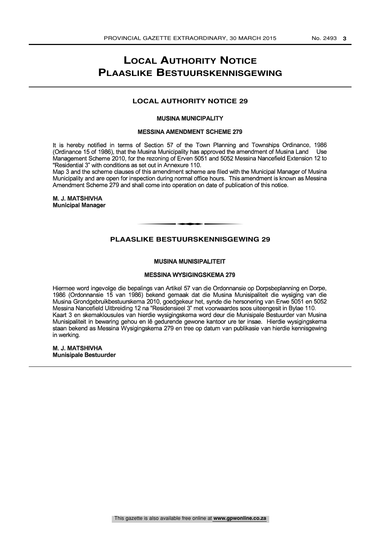### **LOCAL AUTHORITY NOTICE PLAASLIKE BESTUURSKENNISGEWING**

#### **LOCAL AUTHORITY NOTICE 29**

#### MUSINA MUNICIPALITY

#### MESSINA AMENDMENT SCHEME 279

It is hereby notified in terms of Section 57 of the Town Planning and Townships Ordinance, 1986 (Ordinance 15 of 1986), that the Musina Municipality has approved the amendment of Musina Land Use Management Scheme 2010, for the rezoning of Erven 5051 and 5052 Messina Nancefield Extension 12 to "Residential 3" with conditions as set out in Annexure 110.

Map 3 and the scheme clauses of this amendment scheme are filed with the Municipal Manager of Musina Municipality and are open for inspection during normal office hours. This amendment is known as Messina Amendment Scheme 279 and shall come into operation on date of publication of this notice.

M. J. MATSHIVHA Municipal Manager

#### **PLAASLIKE BESTUURSKENNISGEWING 29**

t

#### MUSINA MUNISIPALITEIT

#### MESSINA WYSIGINGSKEMA 279

Hiermee word ingevolge die bepalings van Artikel 57 van die Ordonnansie op Dorpsbeplanning en Dorpe, 1986 (Ordonnansie 15 van 1986) bekend gemaak dat die Musina Munisipaliteit die wysiging van die Musina Grondgebruikbestuurskema 2010, goedgekeur het, synde die hersonering van Erwe 5051 en 5052 Messina Nancefield Uitbreiding 12 na "Residensieel 3" met voorwaardes soos uiteengesit in Bylae 110. Kaart 3 en skemaklousules van hierdie wysigingskema word deur die Munisipale Bestuurder van Musina Munisipaliteit in bewaring gehou en 18 gedurende gewone kantoor ure ter insae. Hierdie wysigingskema staan bekend as Messina Wysigingskema 279 en tree op datum van publikasie van hierdie kennisgewing in werking.

M. J. MATSHIVHA Munisipale Bestuurder